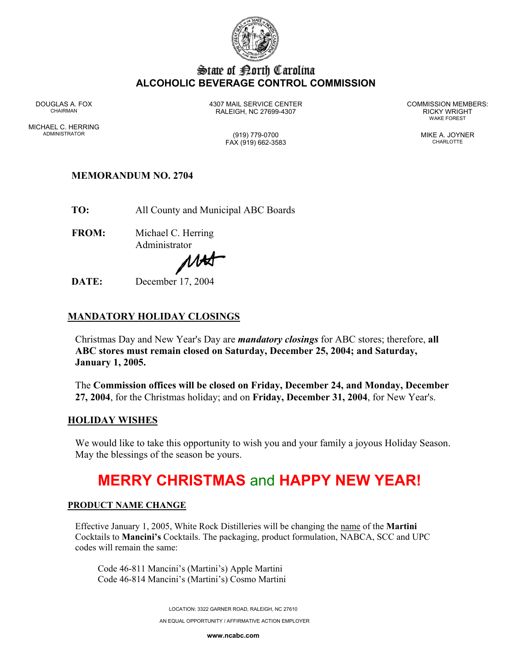

## State of Borth Carolina **ALCOHOLIC BEVERAGE CONTROL COMMISSION**

DOUGLAS A. FOX 4307 MAIL SERVICE CENTER COMMISSION MEMBERS: CHAIRMAN RALEIGH, NC 27699-4307 RICKY WRIGHT

WAKE FOREST

FAX (919) 662-3583 CHARLOTTE

MICHAEL C. HERRING ADMINISTRATOR (919) 779-0700 MIKE A. JOYNER

## **MEMORANDUM NO. 2704**

**TO:** All County and Municipal ABC Boards

**FROM:** Michael C. Herring Administrator

MH

**DATE:** December 17, 2004

## **MANDATORY HOLIDAY CLOSINGS**

Christmas Day and New Year's Day are *mandatory closings* for ABC stores; therefore, **all ABC stores must remain closed on Saturday, December 25, 2004; and Saturday, January 1, 2005.** 

The **Commission offices will be closed on Friday, December 24, and Monday, December 27, 2004**, for the Christmas holiday; and on **Friday, December 31, 2004**, for New Year's.

#### **HOLIDAY WISHES**

We would like to take this opportunity to wish you and your family a joyous Holiday Season. May the blessings of the season be yours.

# **MERRY CHRISTMAS** and **HAPPY NEW YEAR!**

#### **PRODUCT NAME CHANGE**

Effective January 1, 2005, White Rock Distilleries will be changing the name of the **Martini** Cocktails to **Mancini's** Cocktails. The packaging, product formulation, NABCA, SCC and UPC codes will remain the same:

Code 46-811 Mancini's (Martini's) Apple Martini Code 46-814 Mancini's (Martini's) Cosmo Martini

> LOCATION: 3322 GARNER ROAD, RALEIGH, NC 27610 AN EQUAL OPPORTUNITY / AFFIRMATIVE ACTION EMPLOYER

> > **www.ncabc.com**